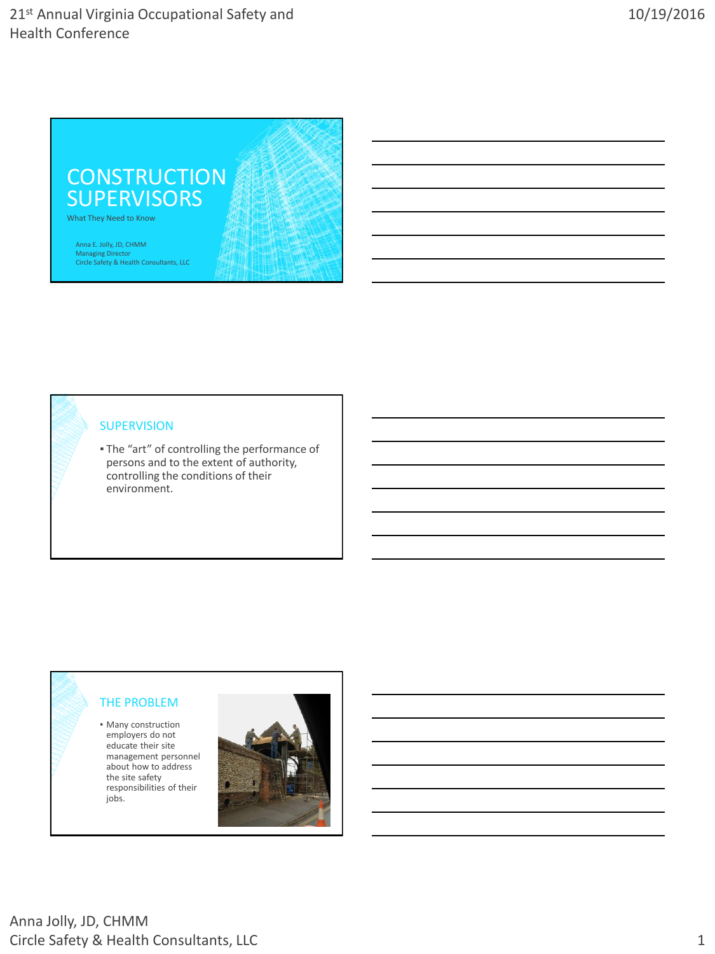

#### **SUPERVISION**

▪ The "art" of controlling the performance of persons and to the extent of authority, controlling the conditions of their environment.

### THE PROBLEM

**• Many construction** employers do not educate their site management personnel about how to address the site safety responsibilities of their jobs.

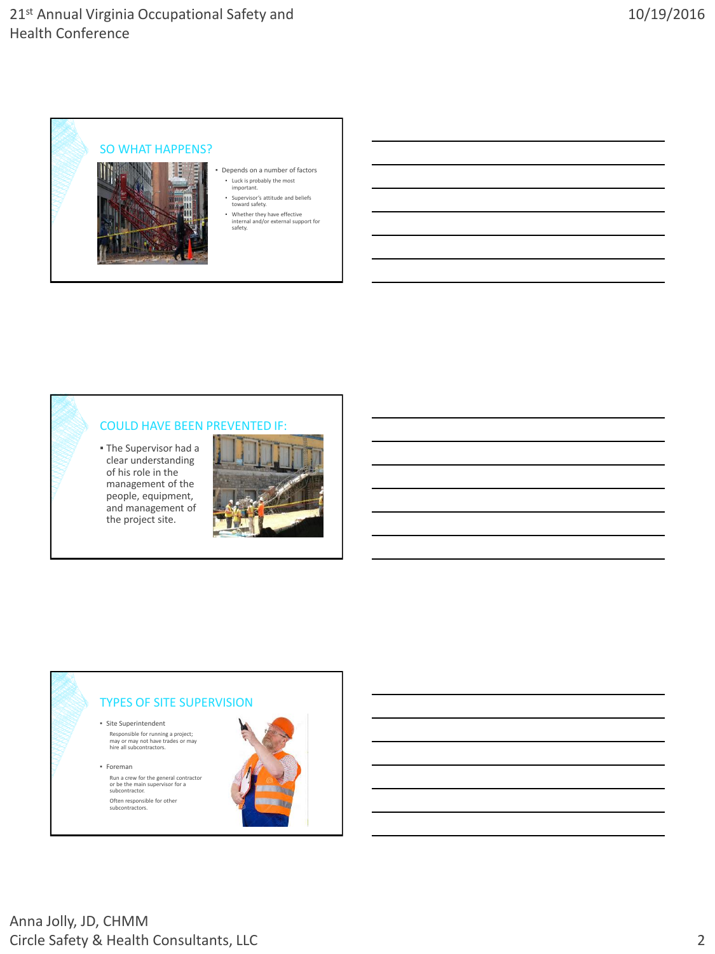

#### COULD HAVE BEEN PREVENTED IF:

▪ The Supervisor had a clear understanding of his role in the management of the people, equipment, and management of the project site.



#### TYPES OF SITE SUPERVISION

▪ Site Superintendent Responsible for running a project; may or may not have trades or may hire all subcontractors.

▪ Foreman Run a crew for the general contractor or be the main supervisor for a subcontractor. Often responsible for other subcontractors.

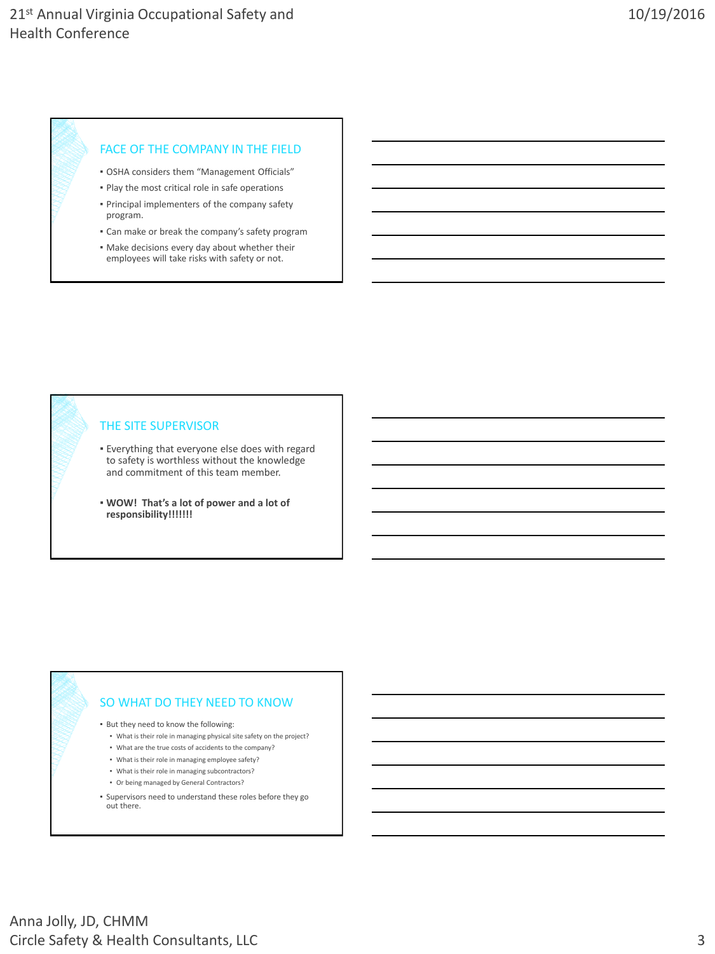#### FACE OF THE COMPANY IN THE FIELD

- OSHA considers them "Management Officials"
- Play the most critical role in safe operations
- Principal implementers of the company safety program.
- **Can make or break the company's safety program**
- Make decisions every day about whether their employees will take risks with safety or not.

#### THE SITE SUPERVISOR

- Everything that everyone else does with regard to safety is worthless without the knowledge and commitment of this team member.
- **WOW! That's a lot of power and a lot of responsibility!!!!!!!**

#### SO WHAT DO THEY NEED TO KNOW

▪ But they need to know the following:

- What is their role in managing physical site safety on the project?
- What are the true costs of accidents to the company?
- What is their role in managing employee safety?
- What is their role in managing subcontractors?
- Or being managed by General Contractors?
- Supervisors need to understand these roles before they go out there.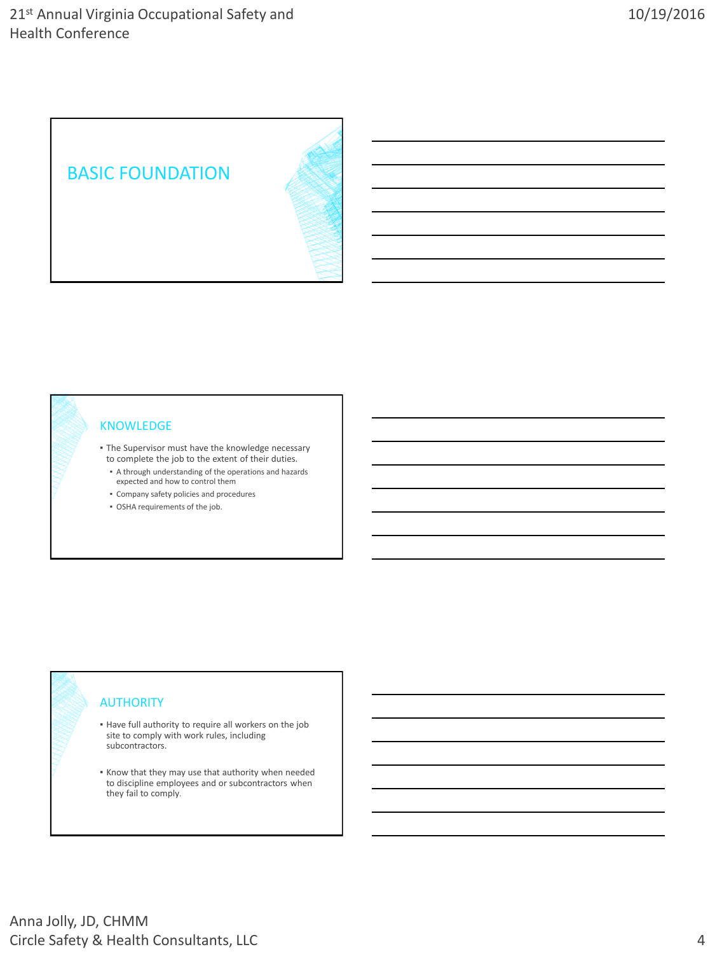

#### KNOWLEDGE

- **The Supervisor must have the knowledge necessary** to complete the job to the extent of their duties.
	- A through understanding of the operations and hazards expected and how to control them
	- Company safety policies and procedures
	- OSHA requirements of the job.

#### **AUTHORITY**

- Have full authority to require all workers on the job site to comply with work rules, including subcontractors.
- Know that they may use that authority when needed to discipline employees and or subcontractors when they fail to comply.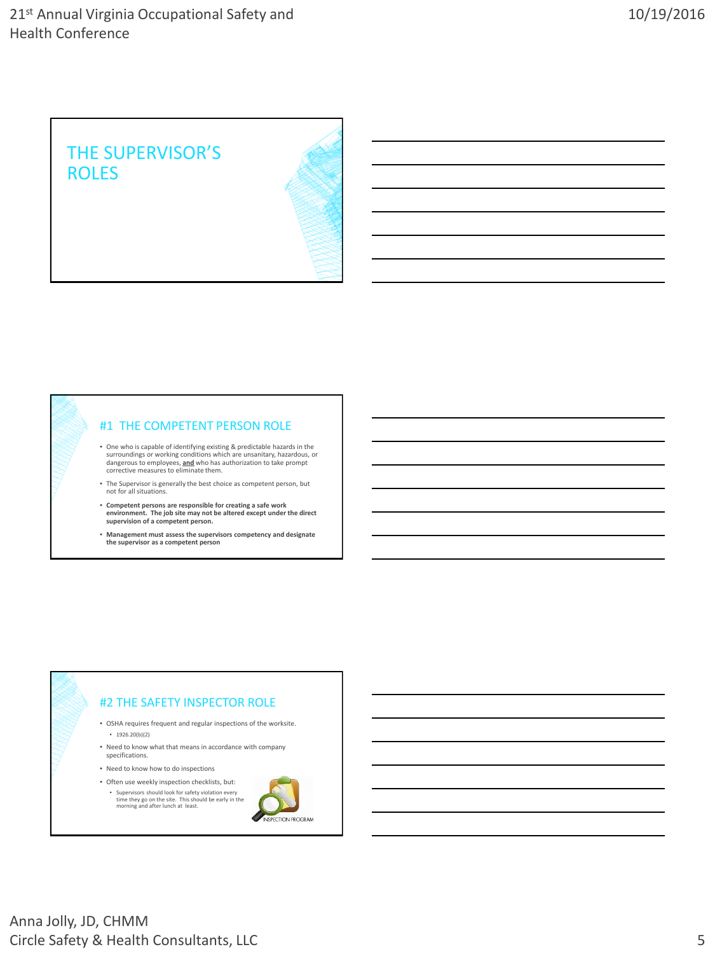

#### #1 THE COMPETENT PERSON ROLE

- One who is capable of identifying existing & predictable hazards in the<br>surroundings or working conditions which are unsanitary, hazardous, or<br>dangerous to employees, **and** who has authorization to take prompt<br>corrective
- The Supervisor is generally the best choice as competent person, but not for all situations.
- **Competent persons are responsible for creating a safe work environment. The job site may not be altered except under the direct supervision of a competent person.**
- **Management must assess the supervisors competency and designate the supervisor as a competent person**



- OSHA requires frequent and regular inspections of the worksite. ▪ 1926.20(b)(2)
- Need to know what that means in accordance with company specifications.
- Need to know how to do inspections
- Often use weekly inspection checklists, but: ▪ Supervisors should look for safety violation every time they go on the site. This should be early in the morning and after lunch at least.

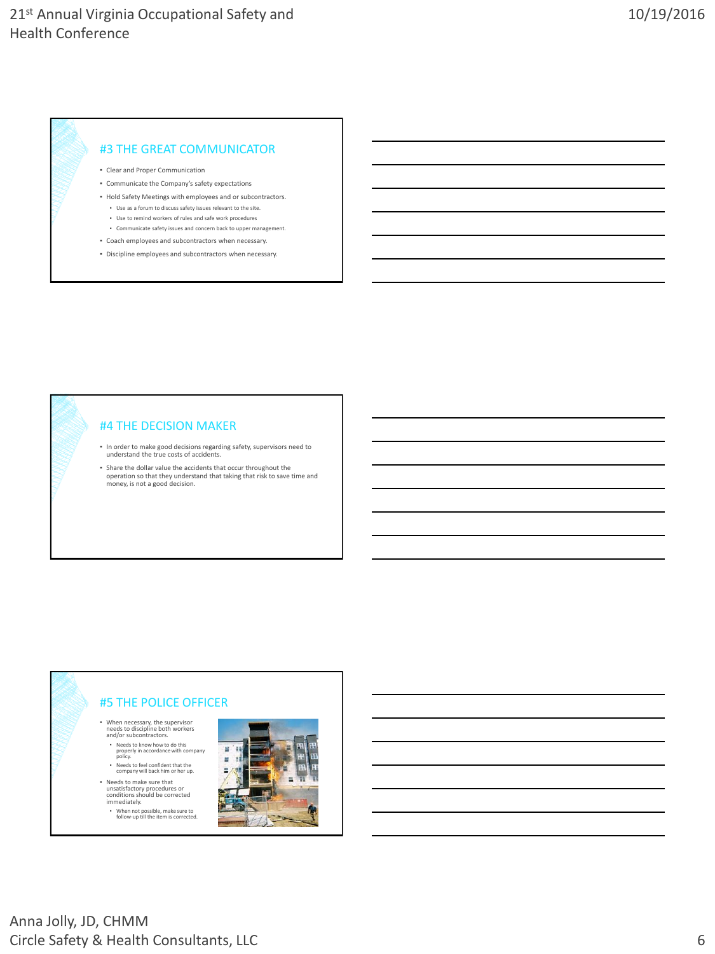#### #3 THE GREAT COMMUNICATOR

- Clear and Proper Communication
- Communicate the Company's safety expectations
- Hold Safety Meetings with employees and or subcontractors. ▪ Use as a forum to discuss safety issues relevant to the site.
	- Use to remind workers of rules and safe work procedures
	- Communicate safety issues and concern back to upper management.
- Coach employees and subcontractors when necessary.
- Discipline employees and subcontractors when necessary.

#### #4 THE DECISION MAKER

- In order to make good decisions regarding safety, supervisors need to understand the true costs of accidents.
- Share the dollar value the accidents that occur throughout the operation so that they understand that taking that risk to save time and money, is not a good decision.

### #5 THE POLICE OFFICER

- When necessary, the supervisor needs to discipline both workers and/or subcontractors.
- Needs to know how to do this properly in accordance with company policy.
- Needs to feel confident that the company will back him or her up. ▪ Needs to make sure that
- unsatisfactory procedures or conditions should be corrected immediately.
- When not possible, make sure to follow-up till the item is corrected.

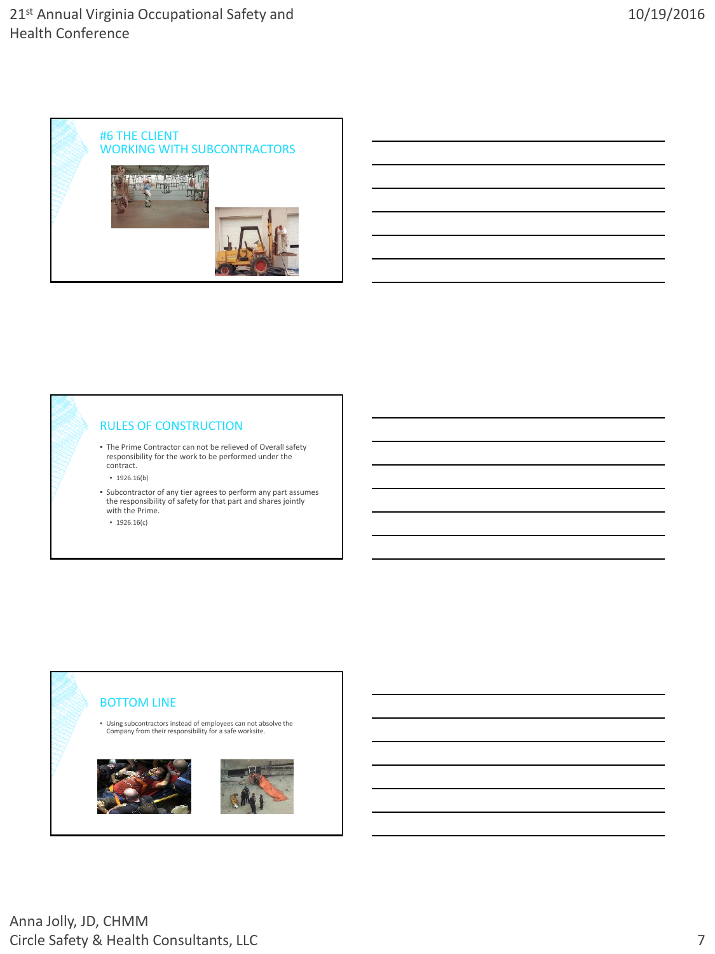

#### RULES OF CONSTRUCTION

- The Prime Contractor can not be relieved of Overall safety responsibility for the work to be performed under the contract.
	- 1926.16(b)
- Subcontractor of any tier agrees to perform any part assumes the responsibility of safety for that part and shares jointly with the Prime.
	- 1926.16(c)

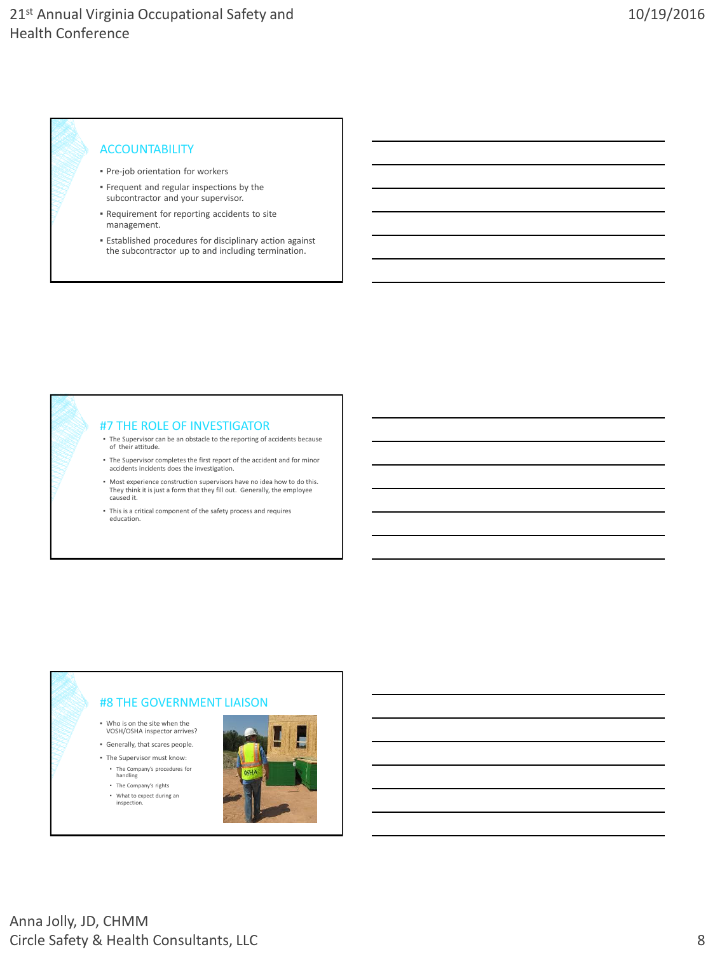#### ACCOUNTABILITY

- **Pre-job orientation for workers**
- Frequent and regular inspections by the subcontractor and your supervisor.
- Requirement for reporting accidents to site management.
- Established procedures for disciplinary action against the subcontractor up to and including termination.



#### #8 THE GOVERNMENT LIAISON

▪ Who is on the site when the VOSH/OSHA inspector arrives?

▪ Generally, that scares people. ▪ The Supervisor must know:

- The Company's procedures for handling
- The Company's rights ▪ What to expect during an
- inspection.

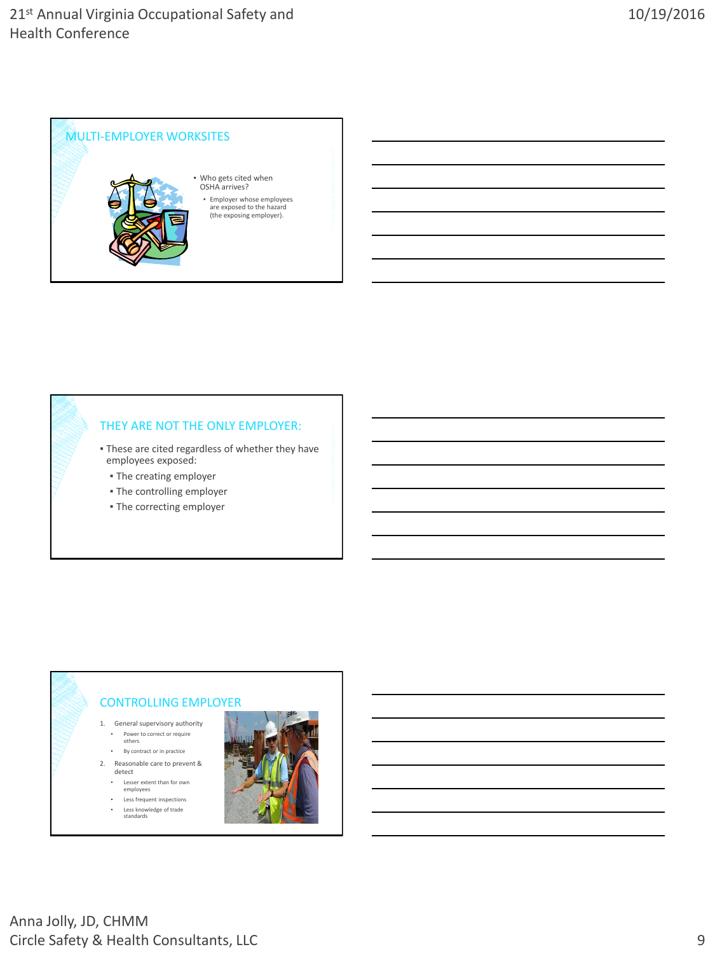

#### THEY ARE NOT THE ONLY EMPLOYER:

- **These are cited regardless of whether they have** employees exposed:
	- The creating employer
	- The controlling employer
	- The correcting employer

#### CONTROLLING EMPLOYER

- 1. General supervisory authority
	- Power to correct or require others
	- By contract or in practice
- 2. Reasonable care to prevent &
	- detect
	- Lesser extent than for own employees
	- Less frequent inspections ▪ Less knowledge of trade standards

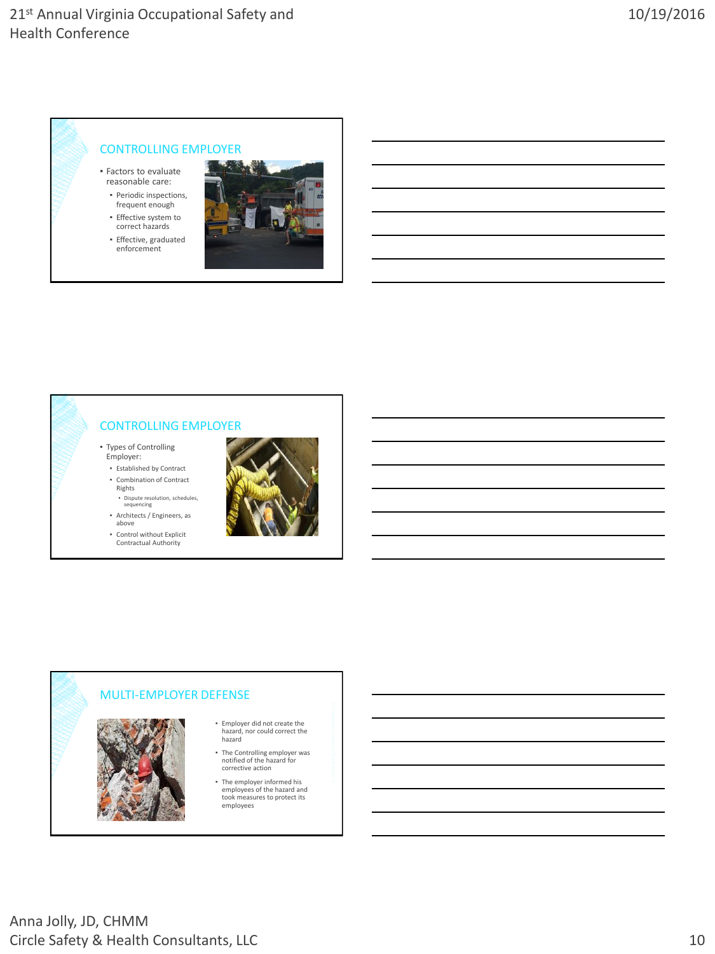# CONTROLLING EMPLOYER

- Factors to evaluate reasonable care:
	- Periodic inspections,
- frequent enough ▪ Effective system to
- correct hazards
- Effective, graduated enforcement



### CONTROLLING EMPLOYER

- Types of Controlling Employer:
	- Established by Contract ▪ Combination of Contract
	- Rights ▪ Dispute resolution, schedules, sequencing



- above
- Control without Explicit Contractual Authority



#### MULTI-EMPLOYER DEFENSE



- Employer did not create the hazard, nor could correct the hazard
- The Controlling employer was notified of the hazard for corrective action
- The employer informed his employees of the hazard and took measures to protect its employees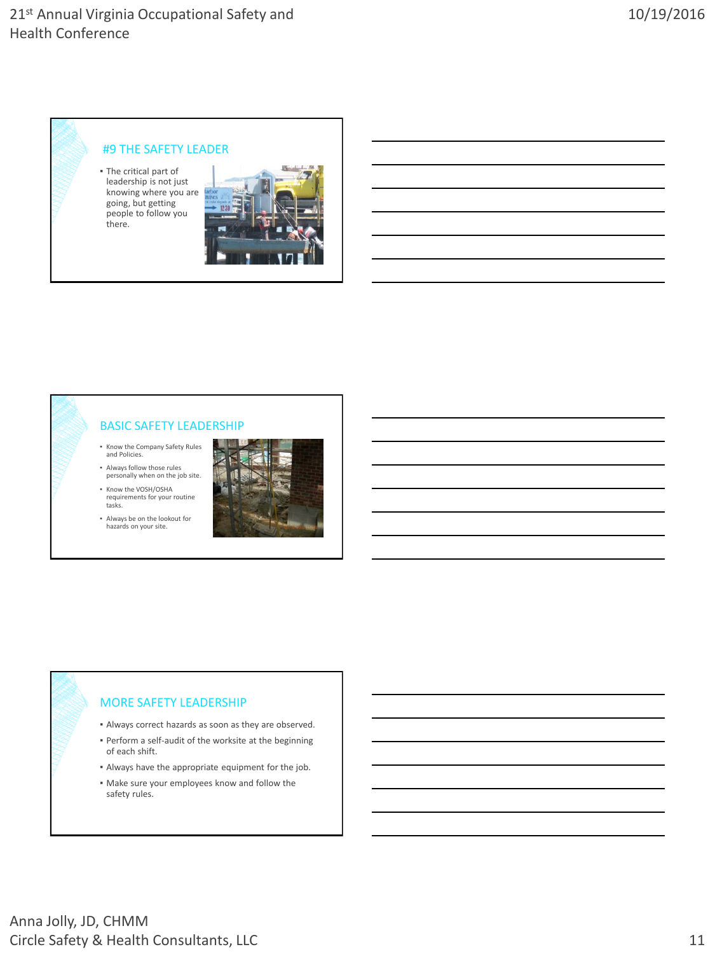## 21st Annual Virginia Occupational Safety and Health Conference

### #9 THE SAFETY LEADER

▪ The critical part of leadership is not just knowing where you are going, but getting people to follow you there.



### BASIC SAFETY LEADERSHIP

- Know the Company Safety Rules and Policies.
- Always follow those rules personally when on the job site.
- Know the VOSH/OSHA requirements for your routine tasks.
- Always be on the lookout for hazards on your site.



#### MORE SAFETY LEADERSHIP

- Always correct hazards as soon as they are observed.
- Perform a self-audit of the worksite at the beginning of each shift.
- Always have the appropriate equipment for the job.
- Make sure your employees know and follow the safety rules.